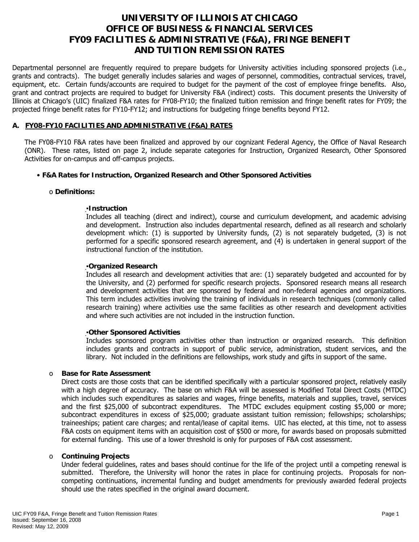# **UNIVERSITY OF ILLINOIS AT CHICAGO OFFICE OF BUSINESS & FINANCIAL SERVICES FY09 FACILITIES & ADMINISTRATIVE (F&A), FRINGE BENEFIT AND TUITION REMISSION RATES**

Departmental personnel are frequently required to prepare budgets for University activities including sponsored projects (i.e., grants and contracts). The budget generally includes salaries and wages of personnel, commodities, contractual services, travel, equipment, etc. Certain funds/accounts are required to budget for the payment of the cost of employee fringe benefits. Also, grant and contract projects are required to budget for University F&A (indirect) costs. This document presents the University of Illinois at Chicago's (UIC) finalized F&A rates for FY08-FY10; the finalized tuition remission and fringe benefit rates for FY09; the projected fringe benefit rates for FY10-FY12; and instructions for budgeting fringe benefits beyond FY12.

# **A. FY08-FY10 FACILITIES AND ADMINISTRATIVE (F&A) RATES**

The FY08-FY10 F&A rates have been finalized and approved by our cognizant Federal Agency, the Office of Naval Research (ONR). These rates, listed on page 2, include separate categories for Instruction, Organized Research, Other Sponsored Activities for on-campus and off-campus projects.

# • **F&A Rates for Instruction, Organized Research and Other Sponsored Activities**

#### o **Definitions:**

# ▪**Instruction**

Includes all teaching (direct and indirect), course and curriculum development, and academic advising and development. Instruction also includes departmental research, defined as all research and scholarly development which: (1) is supported by University funds, (2) is not separately budgeted, (3) is not performed for a specific sponsored research agreement, and (4) is undertaken in general support of the instructional function of the institution.

#### ▪**Organized Research**

Includes all research and development activities that are: (1) separately budgeted and accounted for by the University, and (2) performed for specific research projects. Sponsored research means all research and development activities that are sponsored by federal and non-federal agencies and organizations. This term includes activities involving the training of individuals in research techniques (commonly called research training) where activities use the same facilities as other research and development activities and where such activities are not included in the instruction function.

#### ▪**Other Sponsored Activities**

Includes sponsored program activities other than instruction or organized research. This definition includes grants and contracts in support of public service, administration, student services, and the library. Not included in the definitions are fellowships, work study and gifts in support of the same.

# o **Base for Rate Assessment**

Direct costs are those costs that can be identified specifically with a particular sponsored project, relatively easily with a high degree of accuracy. The base on which F&A will be assessed is Modified Total Direct Costs (MTDC) which includes such expenditures as salaries and wages, fringe benefits, materials and supplies, travel, services and the first \$25,000 of subcontract expenditures. The MTDC excludes equipment costing \$5,000 or more; subcontract expenditures in excess of \$25,000; graduate assistant tuition remission; fellowships; scholarships; traineeships; patient care charges; and rental/lease of capital items. UIC has elected, at this time, not to assess F&A costs on equipment items with an acquisition cost of \$500 or more, for awards based on proposals submitted for external funding. This use of a lower threshold is only for purposes of F&A cost assessment.

#### o **Continuing Projects**

Under federal guidelines, rates and bases should continue for the life of the project until a competing renewal is submitted. Therefore, the University will honor the rates in place for continuing projects. Proposals for noncompeting continuations, incremental funding and budget amendments for previously awarded federal projects should use the rates specified in the original award document.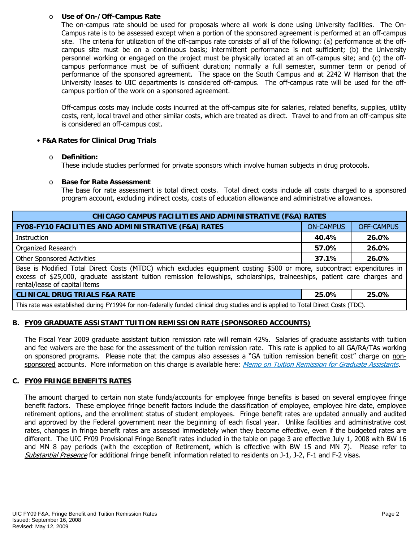#### o **Use of On-/Off-Campus Rate**

The on-campus rate should be used for proposals where all work is done using University facilities. The On-Campus rate is to be assessed except when a portion of the sponsored agreement is performed at an off-campus site. The criteria for utilization of the off-campus rate consists of all of the following: (a) performance at the offcampus site must be on a continuous basis; intermittent performance is not sufficient; (b) the University personnel working or engaged on the project must be physically located at an off-campus site; and (c) the offcampus performance must be of sufficient duration; normally a full semester, summer term or period of performance of the sponsored agreement. The space on the South Campus and at 2242 W Harrison that the University leases to UIC departments is considered off-campus. The off-campus rate will be used for the offcampus portion of the work on a sponsored agreement.

Off-campus costs may include costs incurred at the off-campus site for salaries, related benefits, supplies, utility costs, rent, local travel and other similar costs, which are treated as direct. Travel to and from an off-campus site is considered an off-campus cost.

# • **F&A Rates for Clinical Drug Trials**

#### o **Definition:**

These include studies performed for private sponsors which involve human subjects in drug protocols.

#### o **Base for Rate Assessment**

The base for rate assessment is total direct costs. Total direct costs include all costs charged to a sponsored program account, excluding indirect costs, costs of education allowance and administrative allowances.

| <b>CHICAGO CAMPUS FACILITIES AND ADMINISTRATIVE (F&amp;A) RATES</b>                                                                                                                                                                                                                   |                  |                   |  |  |  |  |
|---------------------------------------------------------------------------------------------------------------------------------------------------------------------------------------------------------------------------------------------------------------------------------------|------------------|-------------------|--|--|--|--|
| FY08-FY10 FACILITIES AND ADMINISTRATIVE (F&A) RATES                                                                                                                                                                                                                                   | <b>ON-CAMPUS</b> | <b>OFF-CAMPUS</b> |  |  |  |  |
| Instruction                                                                                                                                                                                                                                                                           | 40.4%            | 26.0%             |  |  |  |  |
| Organized Research                                                                                                                                                                                                                                                                    | 26.0%<br>57.0%   |                   |  |  |  |  |
| <b>Other Sponsored Activities</b>                                                                                                                                                                                                                                                     | 26.0%<br>37.1%   |                   |  |  |  |  |
| Base is Modified Total Direct Costs (MTDC) which excludes equipment costing \$500 or more, subcontract expenditures in<br>excess of \$25,000, graduate assistant tuition remission fellowships, scholarships, traineeships, patient care charges and<br>rental/lease of capital items |                  |                   |  |  |  |  |
| <b>CLINICAL DRUG TRIALS F&amp;A RATE</b>                                                                                                                                                                                                                                              | 25.0%            | 25.0%             |  |  |  |  |
| This rate was established during FY1994 for non-federally funded clinical drug studies and is applied to Total Direct Costs (TDC).                                                                                                                                                    |                  |                   |  |  |  |  |

# **B. FY09 GRADUATE ASSISTANT TUITION REMISSION RATE (SPONSORED ACCOUNTS)**

The Fiscal Year 2009 graduate assistant tuition remission rate will remain 42%. Salaries of graduate assistants with tuition and fee waivers are the base for the assessment of the tuition remission rate. This rate is applied to all GA/RA/TAs working on sponsored programs. Please note that the campus also assesses a "GA tuition remission benefit cost" charge on non-sponsored accounts. More information on this charge is available here: [Memo on Tuition Remission for Graduate Assistants](https://www.obfs.uillinois.edu/common/pages/DisplayFile.aspx?itemId=436386).

# **C. FY09 FRINGE BENEFITS RATES**

The amount charged to certain non state funds/accounts for employee fringe benefits is based on several employee fringe benefit factors. These employee fringe benefit factors include the classification of employee, employee hire date, employee retirement options, and the enrollment status of student employees. Fringe benefit rates are updated annually and audited and approved by the Federal government near the beginning of each fiscal year. Unlike facilities and administrative cost rates, changes in fringe benefit rates are assessed immediately when they become effective, even if the budgeted rates are different. The UIC FY09 Provisional Fringe Benefit rates included in the table on page 3 are effective July 1, 2008 with BW 16 and MN 8 pay periods (with the exception of Retirement, which is effective with BW 15 and MN 7). Please refer to [Substantial Presence](http://www.uic.edu/com/gme/rpm_comp___benefits.htm#real_substantial_pres) for additional fringe benefit information related to residents on J-1, J-2, F-1 and F-2 visas.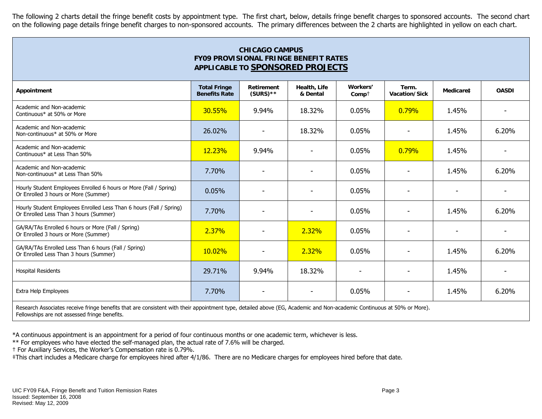The following 2 charts detail the fringe benefit costs by appointment type. The first chart, below, details fringe benefit charges to sponsored accounts. The second chart on the following page details fringe benefit charges to non-sponsored accounts. The primary differences between the 2 charts are highlighted in yellow on each chart.

| <b>CHICAGO CAMPUS</b><br><b>FY09 PROVISIONAL FRINGE BENEFIT RATES</b><br>APPLICABLE TO SPONSORED PROJECTS     |                                             |                                  |                          |                     |                        |                          |              |
|---------------------------------------------------------------------------------------------------------------|---------------------------------------------|----------------------------------|--------------------------|---------------------|------------------------|--------------------------|--------------|
| Appointment                                                                                                   | <b>Total Fringe</b><br><b>Benefits Rate</b> | <b>Retirement</b><br>$(SURS)$ ** | Health, Life<br>& Dental | Workers'<br>$Comp+$ | Term.<br>Vacation/Sick | Medicare‡                | <b>OASDI</b> |
| Academic and Non-academic<br>Continuous* at 50% or More                                                       | 30.55%                                      | 9.94%                            | 18.32%                   | 0.05%               | 0.79%                  | 1.45%                    |              |
| Academic and Non-academic<br>Non-continuous* at 50% or More                                                   | 26,02%                                      | $\overline{\phantom{a}}$         | 18.32%                   | 0.05%               |                        | 1.45%                    | 6.20%        |
| Academic and Non-academic<br>Continuous* at Less Than 50%                                                     | 12.23%                                      | 9.94%                            |                          | 0.05%               | 0.79%                  | 1.45%                    |              |
| Academic and Non-academic<br>Non-continuous* at Less Than 50%                                                 | 7.70%                                       |                                  |                          | 0.05%               |                        | 1.45%                    | 6.20%        |
| Hourly Student Employees Enrolled 6 hours or More (Fall / Spring)<br>Or Enrolled 3 hours or More (Summer)     | 0.05%                                       |                                  |                          | 0.05%               |                        | $\blacksquare$           |              |
| Hourly Student Employees Enrolled Less Than 6 hours (Fall / Spring)<br>Or Enrolled Less Than 3 hours (Summer) | 7.70%                                       |                                  |                          | 0.05%               |                        | 1.45%                    | 6.20%        |
| GA/RA/TAs Enrolled 6 hours or More (Fall / Spring)<br>Or Enrolled 3 hours or More (Summer)                    | 2.37%                                       |                                  | 2.32%                    | 0.05%               |                        | $\overline{\phantom{a}}$ |              |
| GA/RA/TAs Enrolled Less Than 6 hours (Fall / Spring)<br>Or Enrolled Less Than 3 hours (Summer)                | 10.02%                                      | $\overline{\phantom{a}}$         | 2.32%                    | 0.05%               |                        | 1.45%                    | 6.20%        |
| <b>Hospital Residents</b>                                                                                     | 29.71%                                      | 9.94%                            | 18.32%                   |                     |                        | 1.45%                    |              |
| Extra Help Employees                                                                                          | 7.70%                                       |                                  |                          | 0.05%               |                        | 1.45%                    | 6.20%        |

Research Associates receive fringe benefits that are consistent with their appointment type, detailed above (EG, Academic and Non-academic Continuous at 50% or More). Fellowships are not assessed fringe benefits.

\*A continuous appointment is an appointment for a period of four continuous months or one academic term, whichever is less.

\*\* For employees who have elected the self-managed plan, the actual rate of 7.6% will be charged.

† For Auxiliary Services, the Worker's Compensation rate is 0.79%.

‡This chart includes a Medicare charge for employees hired after 4/1/86. There are no Medicare charges for employees hired before that date.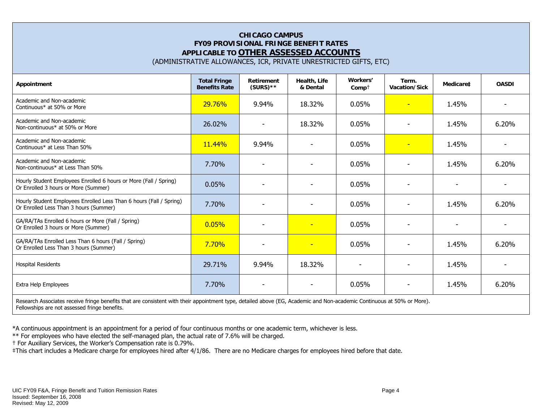# **CHICAGO CAMPUS FY09 PROVISIONAL FRINGE BENEFIT RATES APPLICABLE TO OTHER ASSESSED ACCOUNTS**

(ADMINISTRATIVE ALLOWANCES, ICR, PRIVATE UNRESTRICTED GIFTS, ETC)

| Appointment                                                                                                   | <b>Total Fringe</b><br><b>Benefits Rate</b> | Retirement<br>$(SURS)$ ** | <b>Health, Life</b><br>& Dental | Workers'<br>$Comp+$      | Term.<br>Vacation/Sick   | Medicare‡                | <b>OASDI</b> |
|---------------------------------------------------------------------------------------------------------------|---------------------------------------------|---------------------------|---------------------------------|--------------------------|--------------------------|--------------------------|--------------|
| Academic and Non-academic<br>Continuous* at 50% or More                                                       | 29.76%                                      | 9.94%                     | 18.32%                          | 0.05%                    | $\overline{\phantom{0}}$ | 1.45%                    |              |
| Academic and Non-academic<br>Non-continuous* at 50% or More                                                   | 26.02%                                      | $\blacksquare$            | 18.32%                          | 0.05%                    | ٠                        | 1.45%                    | 6.20%        |
| Academic and Non-academic<br>Continuous* at Less Than 50%                                                     | 11.44%                                      | 9.94%                     |                                 | 0.05%                    | $\overline{\phantom{0}}$ | 1.45%                    |              |
| Academic and Non-academic<br>Non-continuous* at Less Than 50%                                                 | 7.70%                                       |                           | $\overline{a}$                  | 0.05%                    | ٠                        | 1.45%                    | 6.20%        |
| Hourly Student Employees Enrolled 6 hours or More (Fall / Spring)<br>Or Enrolled 3 hours or More (Summer)     | 0.05%                                       | $\blacksquare$            | $\blacksquare$                  | 0.05%                    | $\overline{\phantom{a}}$ | $\overline{\phantom{a}}$ |              |
| Hourly Student Employees Enrolled Less Than 6 hours (Fall / Spring)<br>Or Enrolled Less Than 3 hours (Summer) | 7.70%                                       |                           |                                 | 0.05%                    |                          | 1.45%                    | 6.20%        |
| GA/RA/TAs Enrolled 6 hours or More (Fall / Spring)<br>Or Enrolled 3 hours or More (Summer)                    | 0.05%                                       | $\overline{\phantom{0}}$  | $\overline{\phantom{a}}$        | 0.05%                    | $\overline{\phantom{0}}$ | $\overline{\phantom{0}}$ |              |
| GA/RA/TAs Enrolled Less Than 6 hours (Fall / Spring)<br>Or Enrolled Less Than 3 hours (Summer)                | 7.70%                                       | $\overline{\phantom{a}}$  | $\equiv$                        | 0.05%                    | $\overline{\phantom{0}}$ | 1.45%                    | 6.20%        |
| <b>Hospital Residents</b>                                                                                     | 29.71%                                      | 9.94%                     | 18.32%                          | $\overline{\phantom{a}}$ |                          | 1.45%                    |              |
| Extra Help Employees                                                                                          | 7.70%                                       |                           |                                 | 0.05%                    |                          | 1.45%                    | 6.20%        |

Research Associates receive fringe benefits that are consistent with their appointment type, detailed above (EG, Academic and Non-academic Continuous at 50% or More). Fellowships are not assessed fringe benefits.

\*A continuous appointment is an appointment for a period of four continuous months or one academic term, whichever is less.

\*\* For employees who have elected the self-managed plan, the actual rate of 7.6% will be charged.

† For Auxiliary Services, the Worker's Compensation rate is 0.79%.

‡This chart includes a Medicare charge for employees hired after 4/1/86. There are no Medicare charges for employees hired before that date.